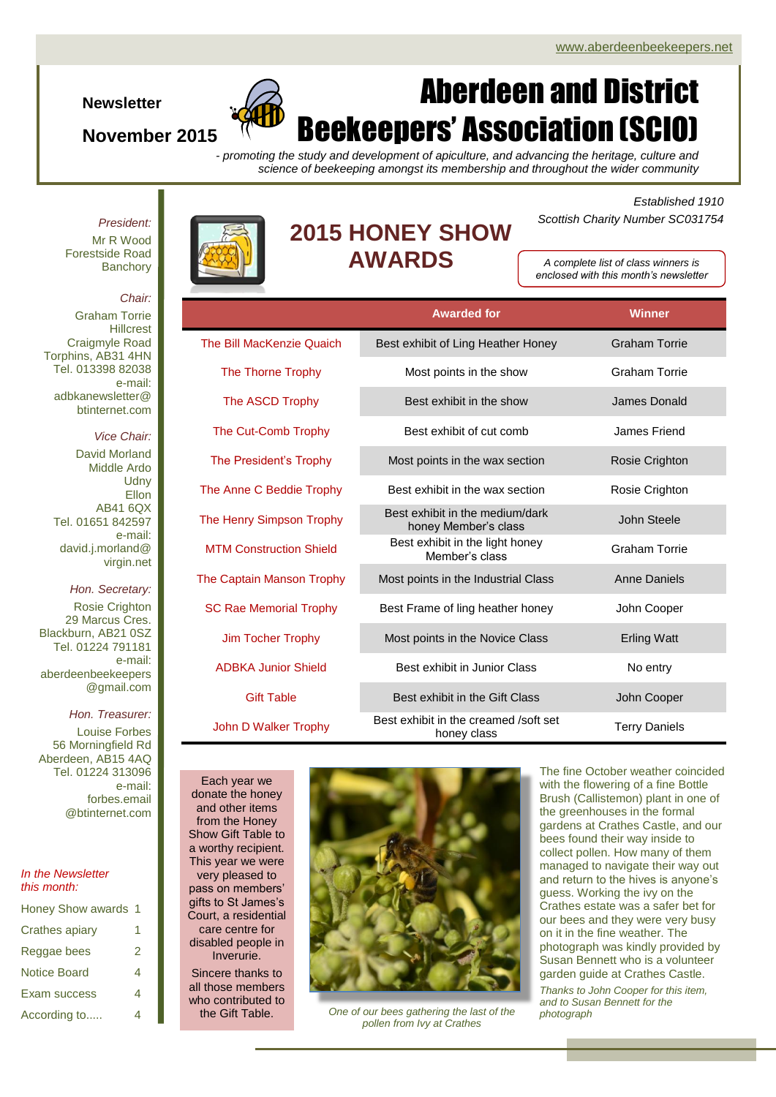## **Newsletter**

## **November 2015**

# Aberdeen and District Beekeepers' Association (SCIO)

*- promoting the study and development of apiculture, and advancing the heritage, culture and science of beekeeping amongst its membership and throughout the wider community*

*President:*

Mr R Wood Forestside Road **Banchorv** 



## **2015 HONEY SHOW AWARDS**

*Established 1910 Scottish Charity Number SC031754*

*A complete list of class winners is enclosed with this month's newsletter*

**Awarded for Winner**

#### *Chair:*

Graham Torrie **Hillcrest** Craigmyle Road Torphins, AB31 4HN Tel. 013398 82038 e-mail: adbkanewsletter@ btinternet.com

## *Vice Chair:*

David Morland Middle Ardo **Udny Ellon** AB41 6QX Tel. 01651 842597 e-mail: david.j.morland@ virgin.net

*Hon. Secretary:* Rosie Crighton 29 Marcus Cres. Blackburn, AB21 0SZ Tel. 01224 791181 e-mail: aberdeenbeekeepers @gmail.com

### *Hon. Treasurer:*

Louise Forbes 56 Morningfield Rd Aberdeen, AB15 4AQ Tel. 01224 313096 e-mail: forbes.email @btinternet.com

#### *In the Newsletter this month:*

| Honey Show awards 1 |    |
|---------------------|----|
| Crathes apiary      | 1. |
| Reggae bees         | 2  |
| <b>Notice Board</b> |    |
| Exam success        |    |
| According to        |    |

| The Bill MacKenzie Quaich        | Best exhibit of Ling Heather Honey                      | <b>Graham Torrie</b> |
|----------------------------------|---------------------------------------------------------|----------------------|
| The Thorne Trophy                | Most points in the show                                 | Graham Torrie        |
| The ASCD Trophy                  | Best exhibit in the show                                | James Donald         |
| The Cut-Comb Trophy              | Best exhibit of cut comb                                | James Friend         |
| The President's Trophy           | Most points in the wax section                          | Rosie Crighton       |
| The Anne C Beddie Trophy         | Best exhibit in the wax section                         | Rosie Crighton       |
| The Henry Simpson Trophy         | Best exhibit in the medium/dark<br>honey Member's class | John Steele          |
| <b>MTM Construction Shield</b>   | Best exhibit in the light honey<br>Member's class       | Graham Torrie        |
| <b>The Captain Manson Trophy</b> | Most points in the Industrial Class                     | <b>Anne Daniels</b>  |
| <b>SC Rae Memorial Trophy</b>    | Best Frame of ling heather honey                        | John Cooper          |
| Jim Tocher Trophy                | Most points in the Novice Class                         | <b>Erling Watt</b>   |
| <b>ADBKA Junior Shield</b>       | Best exhibit in Junior Class                            | No entry             |
| <b>Gift Table</b>                | Best exhibit in the Gift Class                          | John Cooper          |
| John D Walker Trophy             | Best exhibit in the creamed /soft set<br>honey class    | <b>Terry Daniels</b> |

Each year we donate the honey and other items from the Honey Show Gift Table to a worthy recipient. This year we were very pleased to pass on members' gifts to St James's Court, a residential care centre for disabled people in Inverurie.

Sincere thanks to all those members who contributed to the Gift Table.



*One of our bees gathering the last of the photograph pollen from Ivy at Crathes*

The fine October weather coincided with the flowering of a fine Bottle Brush (Callistemon) plant in one of the greenhouses in the formal gardens at Crathes Castle, and our bees found their way inside to collect pollen. How many of them managed to navigate their way out and return to the hives is anyone's guess. Working the ivy on the Crathes estate was a safer bet for our bees and they were very busy on it in the fine weather. The photograph was kindly provided by Susan Bennett who is a volunteer garden guide at Crathes Castle. *Thanks to John Cooper for this item, and to Susan Bennett for the*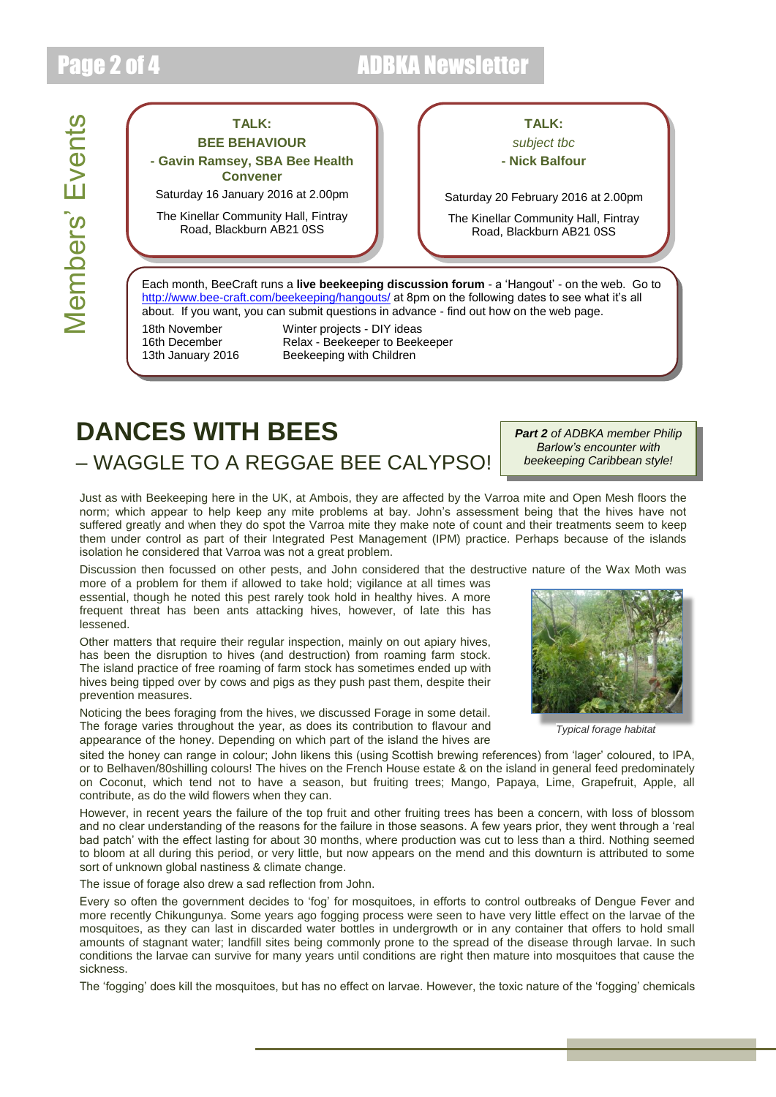## Page 2 of 4 ADBKA Newsletter

# Members' Events Members' Events

## **TALK:**

**BEE BEHAVIOUR - Gavin Ramsey, SBA Bee Health Convener**

Saturday 16 January 2016 at 2.00pm

The Kinellar Community Hall, Fintray Road, Blackburn AB21 0SS

## **TALK:**

## *subject tbc*

**- Nick Balfour**

Saturday 20 February 2016 at 2.00pm

The Kinellar Community Hall, Fintray Road, Blackburn AB21 0SS

Each month, BeeCraft runs a **live beekeeping discussion forum** - a 'Hangout' - on the web. Go to <http://www.bee-craft.com/beekeeping/hangouts/> at 8pm on the following dates to see what it's all about. If you want, you can submit questions in advance - find out how on the web page.

18th November Winter projects - DIY ideas 16th December Relax - Beekeeper to Beekeeper 13th January 2016 Beekeeping with Children

# **DANCES WITH BEES** – WAGGLE TO A REGGAE BEE CALYPSO!

*Part 2 of ADBKA member Philip Barlow's encounter with beekeeping Caribbean style!*

Just as with Beekeeping here in the UK, at Ambois, they are affected by the Varroa mite and Open Mesh floors the norm; which appear to help keep any mite problems at bay. John's assessment being that the hives have not suffered greatly and when they do spot the Varroa mite they make note of count and their treatments seem to keep them under control as part of their Integrated Pest Management (IPM) practice. Perhaps because of the islands isolation he considered that Varroa was not a great problem.

Discussion then focussed on other pests, and John considered that the destructive nature of the Wax Moth was

more of a problem for them if allowed to take hold; vigilance at all times was essential, though he noted this pest rarely took hold in healthy hives. A more frequent threat has been ants attacking hives, however, of late this has lessened.

Other matters that require their regular inspection, mainly on out apiary hives, has been the disruption to hives (and destruction) from roaming farm stock. The island practice of free roaming of farm stock has sometimes ended up with hives being tipped over by cows and pigs as they push past them, despite their prevention measures.

Noticing the bees foraging from the hives, we discussed Forage in some detail. The forage varies throughout the year, as does its contribution to flavour and appearance of the honey. Depending on which part of the island the hives are

sited the honey can range in colour; John likens this (using Scottish brewing references) from 'lager' coloured, to IPA, or to Belhaven/80shilling colours! The hives on the French House estate & on the island in general feed predominately on Coconut, which tend not to have a season, but fruiting trees; Mango, Papaya, Lime, Grapefruit, Apple, all contribute, as do the wild flowers when they can.

However, in recent years the failure of the top fruit and other fruiting trees has been a concern, with loss of blossom and no clear understanding of the reasons for the failure in those seasons. A few years prior, they went through a 'real bad patch' with the effect lasting for about 30 months, where production was cut to less than a third. Nothing seemed to bloom at all during this period, or very little, but now appears on the mend and this downturn is attributed to some sort of unknown global nastiness & climate change.

The issue of forage also drew a sad reflection from John.

Every so often the government decides to 'fog' for mosquitoes, in efforts to control outbreaks of Dengue Fever and more recently Chikungunya. Some years ago fogging process were seen to have very little effect on the larvae of the mosquitoes, as they can last in discarded water bottles in undergrowth or in any container that offers to hold small amounts of stagnant water; landfill sites being commonly prone to the spread of the disease through larvae. In such conditions the larvae can survive for many years until conditions are right then mature into mosquitoes that cause the sickness.

The 'fogging' does kill the mosquitoes, but has no effect on larvae. However, the toxic nature of the 'fogging' chemicals



*Typical forage habitat*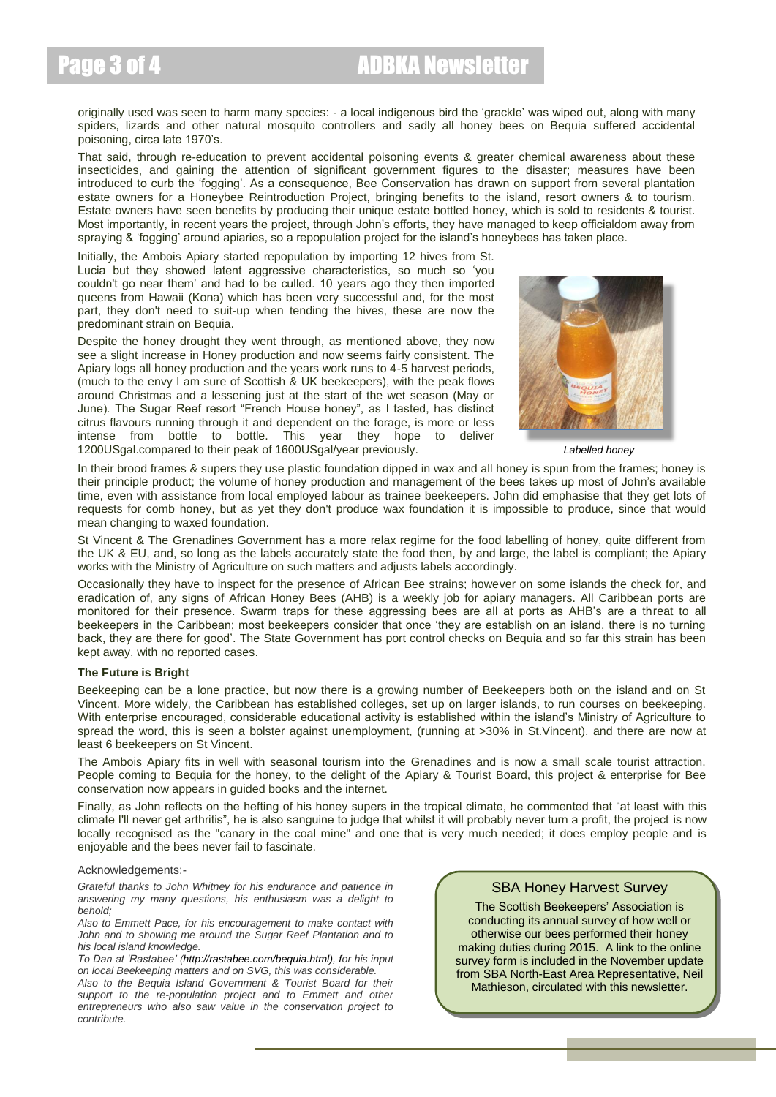## Page 3 of 4 **ADBKA Newsletter**

originally used was seen to harm many species: - a local indigenous bird the 'grackle' was wiped out, along with many spiders, lizards and other natural mosquito controllers and sadly all honey bees on Bequia suffered accidental poisoning, circa late 1970's.

That said, through re-education to prevent accidental poisoning events & greater chemical awareness about these insecticides, and gaining the attention of significant government figures to the disaster; measures have been introduced to curb the 'fogging'. As a consequence, Bee Conservation has drawn on support from several plantation estate owners for a Honeybee Reintroduction Project, bringing benefits to the island, resort owners & to tourism. Estate owners have seen benefits by producing their unique estate bottled honey, which is sold to residents & tourist. Most importantly, in recent years the project, through John's efforts, they have managed to keep officialdom away from spraying & 'fogging' around apiaries, so a repopulation project for the island's honeybees has taken place.

Initially, the Ambois Apiary started repopulation by importing 12 hives from St. Lucia but they showed latent aggressive characteristics, so much so 'you couldn't go near them' and had to be culled. 10 years ago they then imported queens from Hawaii (Kona) which has been very successful and, for the most part, they don't need to suit-up when tending the hives, these are now the predominant strain on Bequia.

Despite the honey drought they went through, as mentioned above, they now see a slight increase in Honey production and now seems fairly consistent. The Apiary logs all honey production and the years work runs to 4-5 harvest periods, (much to the envy I am sure of Scottish & UK beekeepers), with the peak flows around Christmas and a lessening just at the start of the wet season (May or June). The Sugar Reef resort "French House honey", as I tasted, has distinct citrus flavours running through it and dependent on the forage, is more or less intense from bottle to bottle. This year they hope to deliver 1200USgal.compared to their peak of 1600USgal/year previously.



*Labelled honey*

In their brood frames & supers they use plastic foundation dipped in wax and all honey is spun from the frames; honey is their principle product; the volume of honey production and management of the bees takes up most of John's available time, even with assistance from local employed labour as trainee beekeepers. John did emphasise that they get lots of requests for comb honey, but as yet they don't produce wax foundation it is impossible to produce, since that would mean changing to waxed foundation.

St Vincent & The Grenadines Government has a more relax regime for the food labelling of honey, quite different from the UK & EU, and, so long as the labels accurately state the food then, by and large, the label is compliant; the Apiary works with the Ministry of Agriculture on such matters and adjusts labels accordingly.

Occasionally they have to inspect for the presence of African Bee strains; however on some islands the check for, and eradication of, any signs of African Honey Bees (AHB) is a weekly job for apiary managers. All Caribbean ports are monitored for their presence. Swarm traps for these aggressing bees are all at ports as AHB's are a threat to all beekeepers in the Caribbean; most beekeepers consider that once 'they are establish on an island, there is no turning back, they are there for good'. The State Government has port control checks on Bequia and so far this strain has been kept away, with no reported cases.

#### **The Future is Bright**

Beekeeping can be a lone practice, but now there is a growing number of Beekeepers both on the island and on St Vincent. More widely, the Caribbean has established colleges, set up on larger islands, to run courses on beekeeping. With enterprise encouraged, considerable educational activity is established within the island's Ministry of Agriculture to spread the word, this is seen a bolster against unemployment, (running at >30% in St.Vincent), and there are now at least 6 beekeepers on St Vincent.

The Ambois Apiary fits in well with seasonal tourism into the Grenadines and is now a small scale tourist attraction. People coming to Bequia for the honey, to the delight of the Apiary & Tourist Board, this project & enterprise for Bee conservation now appears in guided books and the internet.

Finally, as John reflects on the hefting of his honey supers in the tropical climate, he commented that "at least with this climate I'll never get arthritis", he is also sanguine to judge that whilst it will probably never turn a profit, the project is now locally recognised as the "canary in the coal mine" and one that is very much needed; it does employ people and is enjoyable and the bees never fail to fascinate.

#### Acknowledgements:-

*Grateful thanks to John Whitney for his endurance and patience in answering my many questions, his enthusiasm was a delight to behold;* 

*Also to Emmett Pace, for his encouragement to make contact with John and to showing me around the Sugar Reef Plantation and to his local island knowledge.* 

*To Dan at 'Rastabee' (http://rastabee.com/bequia.html), for his input on local Beekeeping matters and on SVG, this was considerable.*

*Also to the Bequia Island Government & Tourist Board for their support to the re-population project and to Emmett and other entrepreneurs who also saw value in the conservation project to contribute.*

## SBA Honey Harvest Survey

The Scottish Beekeepers' Association is conducting its annual survey of how well or otherwise our bees performed their honey making duties during 2015. A link to the online survey form is included in the November update from SBA North-East Area Representative, Neil Mathieson, circulated with this newsletter.